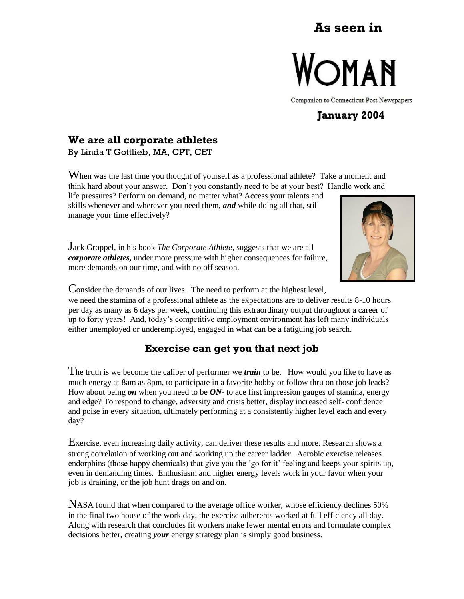# **As seen in**



Companion to Connecticut Post Newspapers

#### **January 2004**

### **We are all corporate athletes**

By Linda T Gottlieb, MA, CPT, CET

When was the last time you thought of yourself as a professional athlete? Take a moment and think hard about your answer. Don't you constantly need to be at your best? Handle work and

life pressures? Perform on demand, no matter what? Access your talents and skills whenever and wherever you need them, *and* while doing all that, still manage your time effectively?

Jack Groppel, in his book *The Corporate Athlete*, suggests that we are all *corporate athletes,* under more pressure with higher consequences for failure, more demands on our time, and with no off season.



Consider the demands of our lives. The need to perform at the highest level,

we need the stamina of a professional athlete as the expectations are to deliver results 8-10 hours per day as many as 6 days per week, continuing this extraordinary output throughout a career of up to forty years! And, today's competitive employment environment has left many individuals either unemployed or underemployed, engaged in what can be a fatiguing job search.

## **Exercise can get you that next job**

The truth is we become the caliber of performer we *train* to be. How would you like to have as much energy at 8am as 8pm, to participate in a favorite hobby or follow thru on those job leads? How about being *on* when you need to be *ON*- to ace first impression gauges of stamina, energy and edge? To respond to change, adversity and crisis better, display increased self- confidence and poise in every situation, ultimately performing at a consistently higher level each and every day?

Exercise, even increasing daily activity, can deliver these results and more. Research shows a strong correlation of working out and working up the career ladder. Aerobic exercise releases endorphins (those happy chemicals) that give you the 'go for it' feeling and keeps your spirits up, even in demanding times. Enthusiasm and higher energy levels work in your favor when your job is draining, or the job hunt drags on and on.

NASA found that when compared to the average office worker, whose efficiency declines 50% in the final two house of the work day, the exercise adherents worked at full efficiency all day. Along with research that concludes fit workers make fewer mental errors and formulate complex decisions better, creating *your* energy strategy plan is simply good business.